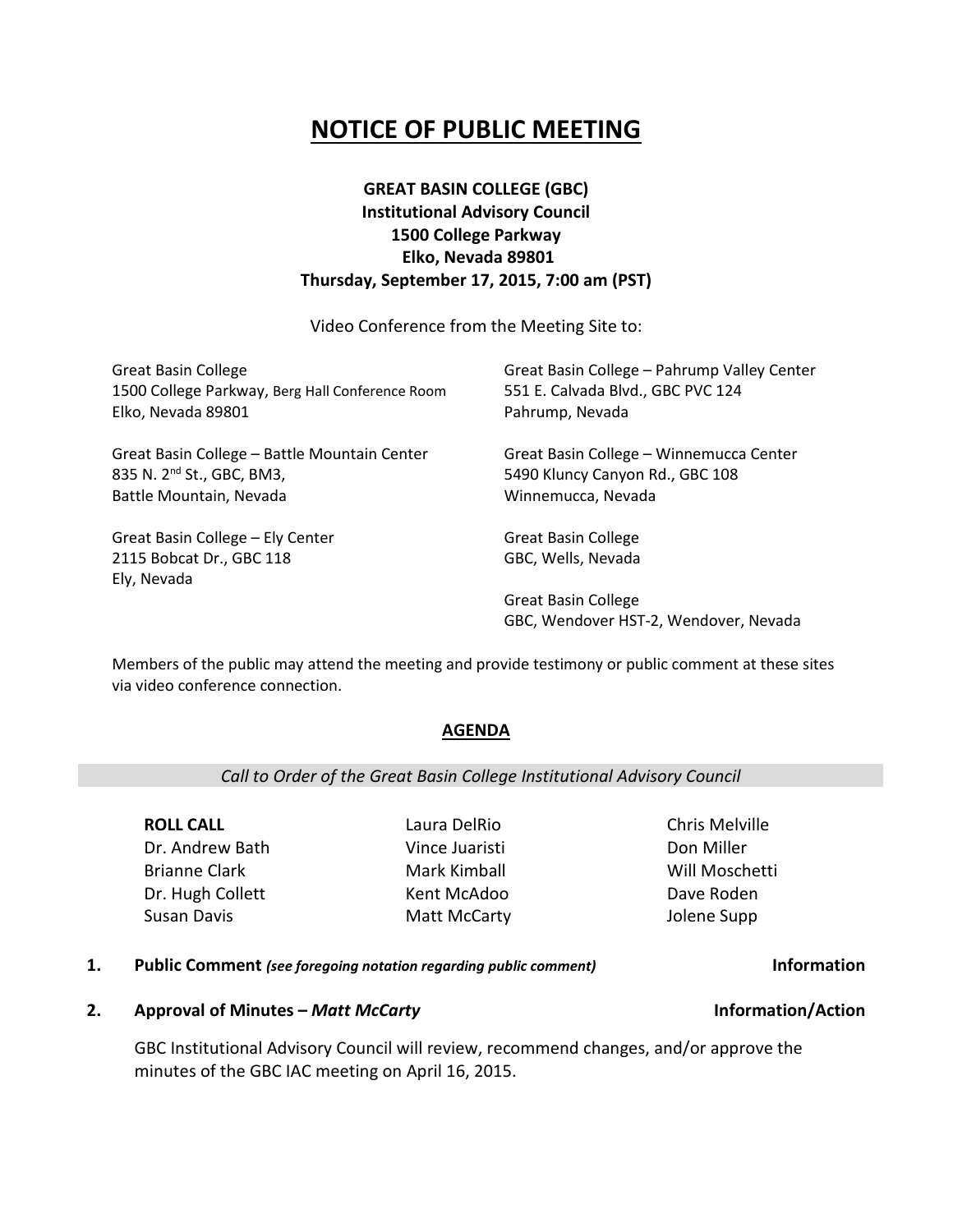# **NOTICE OF PUBLIC MEETING**

## **GREAT BASIN COLLEGE (GBC) Institutional Advisory Council 1500 College Parkway Elko, Nevada 89801 Thursday, September 17, 2015, 7:00 am (PST)**

Video Conference from the Meeting Site to:

| <b>Great Basin College</b>                                                  | Great Basin College - Pahrump Valley Center                         |
|-----------------------------------------------------------------------------|---------------------------------------------------------------------|
| 1500 College Parkway, Berg Hall Conference Room                             | 551 E. Calvada Blvd., GBC PVC 124                                   |
| Elko, Nevada 89801                                                          | Pahrump, Nevada                                                     |
| Great Basin College - Battle Mountain Center                                | Great Basin College - Winnemucca Center                             |
| 835 N. 2 <sup>nd</sup> St., GBC, BM3,                                       | 5490 Kluncy Canyon Rd., GBC 108                                     |
| Battle Mountain, Nevada                                                     | Winnemucca, Nevada                                                  |
| Great Basin College - Ely Center<br>2115 Bobcat Dr., GBC 118<br>Ely, Nevada | <b>Great Basin College</b><br>GBC, Wells, Nevada                    |
|                                                                             | <b>Great Basin College</b><br>GBC, Wendover HST-2, Wendover, Nevada |

Members of the public may attend the meeting and provide testimony or public comment at these sites via video conference connection.

## **AGENDA**

## *Call to Order of the Great Basin College Institutional Advisory Council*

**ROLL CALL** Dr. Andrew Bath Brianne Clark Dr. Hugh Collett Susan Davis

Laura DelRio Vince Juaristi Mark Kimball Kent McAdoo Matt McCarty Chris Melville Don Miller Will Moschetti Dave Roden Jolene Supp

### **1. Public Comment** *(see foregoing notation regarding public comment)* **Information**

### **2. Approval of Minutes –** *Matt McCarty* **Information/Action**

GBC Institutional Advisory Council will review, recommend changes, and/or approve the minutes of the GBC IAC meeting on April 16, 2015.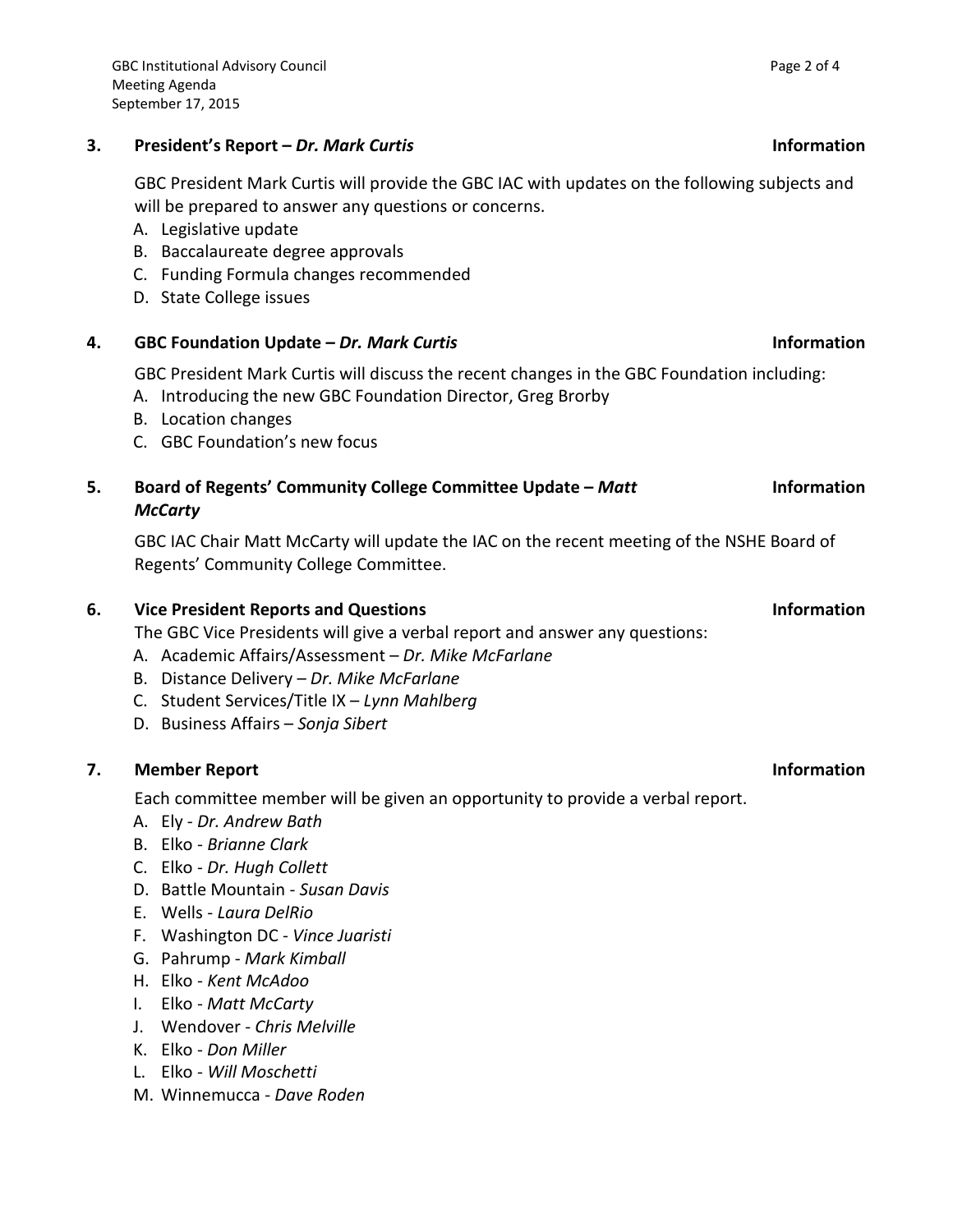## **3. President's Report –** *Dr. Mark Curtis* **Information**

GBC President Mark Curtis will provide the GBC IAC with updates on the following subjects and will be prepared to answer any questions or concerns.

- A. Legislative update
- B. Baccalaureate degree approvals
- C. Funding Formula changes recommended
- D. State College issues

## **4. GBC Foundation Update –** *Dr. Mark Curtis* **Information**

GBC President Mark Curtis will discuss the recent changes in the GBC Foundation including:

- A. Introducing the new GBC Foundation Director, Greg Brorby
- B. Location changes
- C. GBC Foundation's new focus

### **5. Board of Regents' Community College Committee Update –** *Matt McCarty* **Information**

GBC IAC Chair Matt McCarty will update the IAC on the recent meeting of the NSHE Board of Regents' Community College Committee.

## **6. Vice President Reports and Questions Information**

The GBC Vice Presidents will give a verbal report and answer any questions:

- A. Academic Affairs/Assessment *Dr. Mike McFarlane*
- B. Distance Delivery *Dr. Mike McFarlane*
- C. Student Services/Title IX *Lynn Mahlberg*
- D. Business Affairs *Sonja Sibert*

## **7. Member Report Information**

Each committee member will be given an opportunity to provide a verbal report.

- A. Ely *Dr. Andrew Bath*
- B. Elko *Brianne Clark*
- C. Elko *Dr. Hugh Collett*
- D. Battle Mountain *Susan Davis*
- E. Wells *Laura DelRio*
- F. Washington DC *Vince Juaristi*
- G. Pahrump *Mark Kimball*
- H. Elko *Kent McAdoo*
- I. Elko *Matt McCarty*
- J. Wendover *Chris Melville*
- K. Elko *Don Miller*
- L. Elko *Will Moschetti*
- M. Winnemucca *Dave Roden*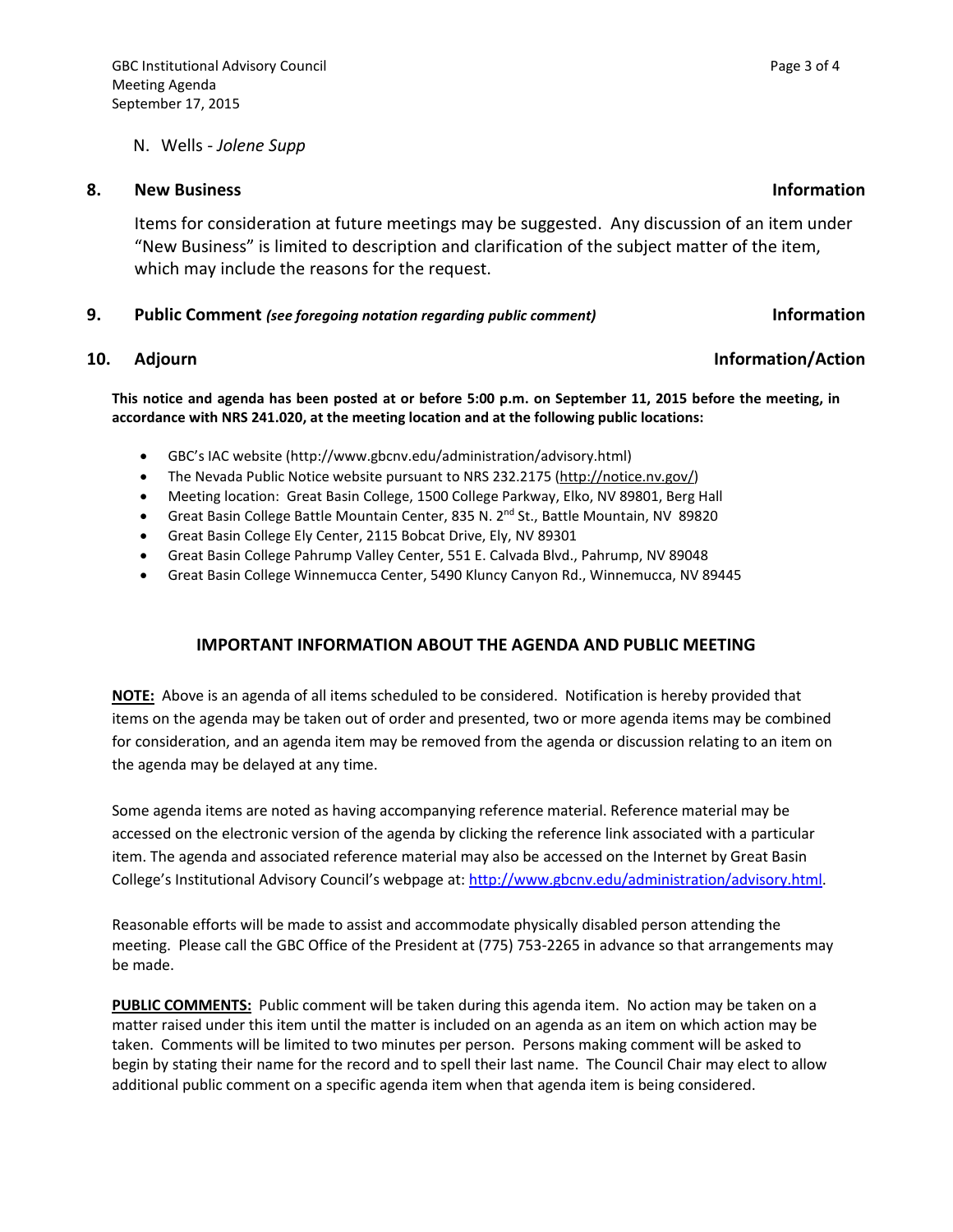### N. Wells - *Jolene Supp*

### **8. New Business Information**

Items for consideration at future meetings may be suggested. Any discussion of an item under "New Business" is limited to description and clarification of the subject matter of the item, which may include the reasons for the request.

### **9. Public Comment** *(see foregoing notation regarding public comment)* **Information**

### **10.** Adjourn **Information/Action**

**This notice and agenda has been posted at or before 5:00 p.m. on September 11, 2015 before the meeting, in accordance with NRS 241.020, at the meeting location and at the following public locations:**

- GBC's IAC website (http://www.gbcnv.edu/administration/advisory.html)
- The Nevada Public Notice website pursuant to NRS 232.2175 [\(http://notice.nv.gov/\)](http://notice.nv.gov/)
- Meeting location: Great Basin College, 1500 College Parkway, Elko, NV 89801, Berg Hall
- Great Basin College Battle Mountain Center, 835 N. 2<sup>nd</sup> St., Battle Mountain, NV 89820
- Great Basin College Ely Center, 2115 Bobcat Drive, Ely, NV 89301
- Great Basin College Pahrump Valley Center, 551 E. Calvada Blvd., Pahrump, NV 89048
- Great Basin College Winnemucca Center, 5490 Kluncy Canyon Rd., Winnemucca, NV 89445

## **IMPORTANT INFORMATION ABOUT THE AGENDA AND PUBLIC MEETING**

**NOTE:** Above is an agenda of all items scheduled to be considered. Notification is hereby provided that items on the agenda may be taken out of order and presented, two or more agenda items may be combined for consideration, and an agenda item may be removed from the agenda or discussion relating to an item on the agenda may be delayed at any time.

Some agenda items are noted as having accompanying reference material. Reference material may be accessed on the electronic version of the agenda by clicking the reference link associated with a particular item. The agenda and associated reference material may also be accessed on the Internet by Great Basin College's Institutional Advisory Council's webpage at: [http://www.gbcnv.edu/administration/advisory.html.](http://www.gbcnv.edu/administration/advisory.html)

Reasonable efforts will be made to assist and accommodate physically disabled person attending the meeting. Please call the GBC Office of the President at (775) 753-2265 in advance so that arrangements may be made.

**PUBLIC COMMENTS:** Public comment will be taken during this agenda item. No action may be taken on a matter raised under this item until the matter is included on an agenda as an item on which action may be taken. Comments will be limited to two minutes per person. Persons making comment will be asked to begin by stating their name for the record and to spell their last name. The Council Chair may elect to allow additional public comment on a specific agenda item when that agenda item is being considered.